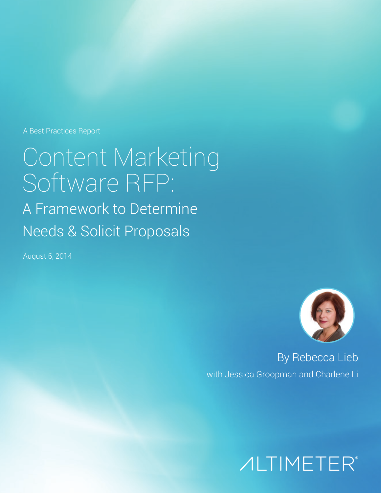A Best Practices Report

Content Marketing Software RFP: A Framework to Determine Needs & Solicit Proposals

August 6, 2014



By Rebecca Lieb with Jessica Groopman and Charlene Li

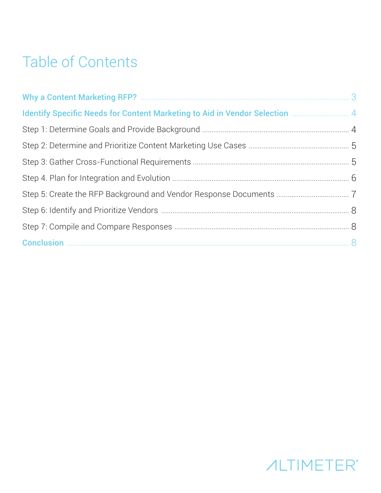# Table of Contents

| <b>Identify Specific Needs for Content Marketing to Aid in Vendor Selection Marketing 4 Ariginal Ariginal Ariginal Ariginal Ariginal Ariginal Ariginal Ariginal Ariginal Ariginal Ariginal Ariginal Ariginal Ariginal Ariginal A</b> |  |
|--------------------------------------------------------------------------------------------------------------------------------------------------------------------------------------------------------------------------------------|--|
|                                                                                                                                                                                                                                      |  |
|                                                                                                                                                                                                                                      |  |
|                                                                                                                                                                                                                                      |  |
|                                                                                                                                                                                                                                      |  |
|                                                                                                                                                                                                                                      |  |
|                                                                                                                                                                                                                                      |  |
|                                                                                                                                                                                                                                      |  |
|                                                                                                                                                                                                                                      |  |

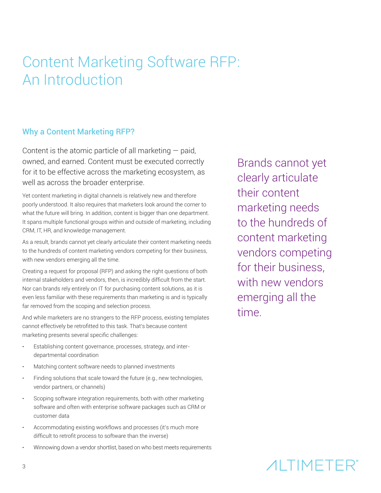# Content Marketing Software RFP: An Introduction

### Why a Content Marketing RFP?

Content is the atomic particle of all marketing  $-$  paid, owned, and earned. Content must be executed correctly for it to be effective across the marketing ecosystem, as well as across the broader enterprise.

Yet content marketing in digital channels is relatively new and therefore poorly understood. It also requires that marketers look around the corner to what the future will bring. In addition, content is bigger than one department. It spans multiple functional groups within and outside of marketing, including CRM, IT, HR, and knowledge management.

As a result, brands cannot yet clearly articulate their content marketing needs to the hundreds of content marketing vendors competing for their business, with new vendors emerging all the time.

Creating a request for proposal (RFP) and asking the right questions of both internal stakeholders and vendors, then, is incredibly difficult from the start. Nor can brands rely entirely on IT for purchasing content solutions, as it is even less familiar with these requirements than marketing is and is typically far removed from the scoping and selection process.

And while marketers are no strangers to the RFP process, existing templates cannot effectively be retrofitted to this task. That's because content marketing presents several specific challenges:

- Establishing content governance, processes, strategy, and interdepartmental coordination
- Matching content software needs to planned investments
- Finding solutions that scale toward the future (e.g., new technologies, vendor partners, or channels)
- Scoping software integration requirements, both with other marketing software and often with enterprise software packages such as CRM or customer data
- Accommodating existing workflows and processes (it's much more difficult to retrofit process to software than the inverse)
- Winnowing down a vendor shortlist, based on who best meets requirements

Brands cannot yet clearly articulate their content marketing needs to the hundreds of content marketing vendors competing for their business, with new vendors emerging all the time.

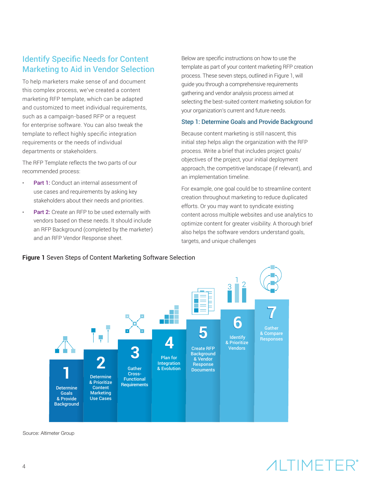## **Identify Specific Needs for Content Marketing to Aid in Vendor Selection**

To help marketers make sense of and document this complex process, we've created a content marketing RFP template, which can be adapted and customized to meet individual requirements, such as a campaign-based RFP or a request for enterprise software. You can also tweak the template to reflect highly specific integration requirements or the needs of individual departments or stakeholders.

The RFP Template reflects the two parts of our recommended process:

- **Part 1:** Conduct an internal assessment of use cases and requirements by asking key stakeholders about their needs and priorities.
- Part 2: Create an RFP to be used externally with vendors based on these needs. It should include an RFP Background (completed by the marketer) and an RFP Vendor Response sheet.

Below are specific instructions on how to use the template as part of your content marketing RFP creation process. These seven steps, outlined in Figure 1, will guide you through a comprehensive requirements gathering and vendor analysis process aimed at selecting the best-suited content marketing solution for your organization's current and future needs.

#### Step 1: Determine Goals and Provide Background

Because content marketing is still nascent, this initial step helps align the organization with the RFP process. Write a brief that includes project goals/ objectives of the project, your initial deployment approach, the competitive landscape (if relevant), and an implementation timeline.

For example, one goal could be to streamline content creation throughout marketing to reduce duplicated efforts. Or you may want to syndicate existing content across multiple websites and use analytics to optimize content for greater visibility. A thorough brief also helps the software vendors understand goals, targets, and unique challenges



**Figure 1** Seven Steps of Content Marketing Software Selection

Source: Altimeter Group

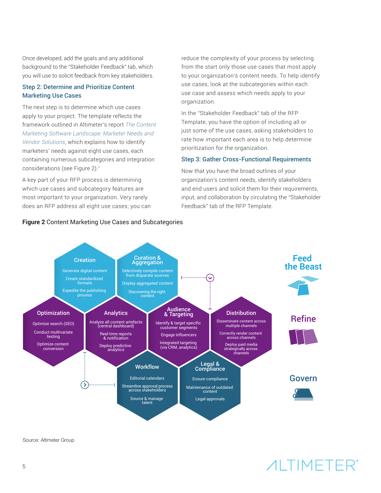Once developed, add the goals and any additional background to the "Stakeholder Feedback" tab, which you will use to solicit feedback from key stakeholders.

#### Step 2: Determine and Prioritize Content **Marketing Use Cases**

The next step is to determine which use cases apply to your project. The template reflects the framework outlined in Altimeter's report The Content *[Marketing Software Landscape: Marketer Needs and](http://www.altimetergroup.com/content-marketing-software-landscape/)  [Vendor Solutions](http://www.altimetergroup.com/content-marketing-software-landscape/)*, which explains how to identify marketers' needs against eight use cases, each containing numerous subcategories and integration considerations (see Figure 2).1

A key part of your RFP process is determining which use cases and subcategory features are most important to your organization. Very rarely does an RFP address all eight use cases; you can

**Figure 2** Content Marketing Use Cases and Subcategories

reduce the complexity of your process by selecting from the start only those use cases that most apply to your organization's content needs. To help identify use cases, look at the subcategories within each use case and assess which needs apply to your organization.

In the "Stakeholder Feedback" tab of the RFP Template, you have the option of including all or just some of the use cases, asking stakeholders to rate how important each area is to help determine prioritization for the organization.

#### Step 3: Gather Cross-Functional Requirements

Now that you have the broad outlines of your organization's content needs, identify stakeholders and end users and solicit them for their requirements, input, and collaboration by circulating the "Stakeholder Feedback" tab of the RFP Template.



Source: Altimeter Group

# *AI TIMETER®*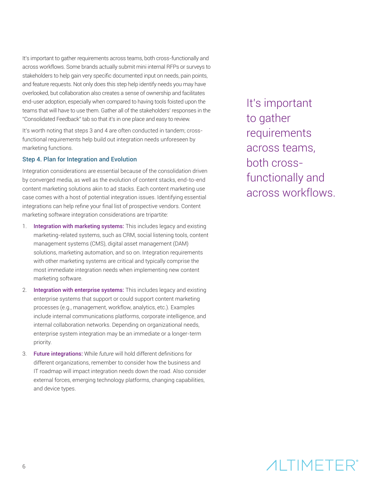It's important to gather requirements across teams, both cross-functionally and across workflows. Some brands actually submit mini internal RFPs or surveys to stakeholders to help gain very specific documented input on needs, pain points, and feature requests. Not only does this step help identify needs you may have overlooked, but collaboration also creates a sense of ownership and facilitates end-user adoption, especially when compared to having tools foisted upon the teams that will have to use them. Gather all of the stakeholders' responses in the "Consolidated Feedback" tab so that it's in one place and easy to review.

It's worth noting that steps 3 and 4 are often conducted in tandem; crossfunctional requirements help build out integration needs unforeseen by marketing functions.

#### Step 4. Plan for Integration and Evolution

Integration considerations are essential because of the consolidation driven by converged media, as well as the evolution of content stacks, end-to-end content marketing solutions akin to ad stacks. Each content marketing use case comes with a host of potential integration issues. Identifying essential integrations can help refine your final list of prospective vendors. Content marketing software integration considerations are tripartite:

- 1. Integration with marketing systems: This includes legacy and existing marketing-related systems, such as CRM, social listening tools, content management systems (CMS), digital asset management (DAM) solutions, marketing automation, and so on. Integration requirements with other marketing systems are critical and typically comprise the most immediate integration needs when implementing new content marketing software.
- 2. Integration with enterprise systems: This includes legacy and existing enterprise systems that support or could support content marketing processes (e.g., management, workflow, analytics, etc.). Examples include internal communications platforms, corporate intelligence, and internal collaboration networks. Depending on organizational needs, enterprise system integration may be an immediate or a longer-term priority.
- 3. **Future integrations:** While *future* will hold different definitions for different organizations, remember to consider how the business and IT roadmap will impact integration needs down the road. Also consider external forces, emerging technology platforms, changing capabilities, and device types.

It's important to gather requirements across teams, both crossfunctionally and across workflows.

# *AI TIMETER®*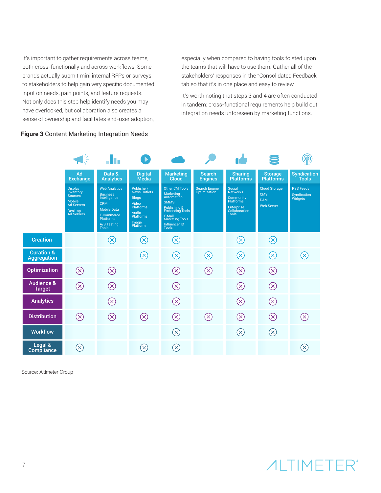It's important to gather requirements across teams, both cross-functionally and across workflows. Some brands actually submit mini internal RFPs or surveys to stakeholders to help gain very specific documented input on needs, pain points, and feature requests. Not only does this step help identify needs you may have overlooked, but collaboration also creates a sense of ownership and facilitates end-user adoption, especially when compared to having tools foisted upon the teams that will have to use them. Gather all of the stakeholders' responses in the "Consolidated Feedback" tab so that it's in one place and easy to review.

It's worth noting that steps 3 and 4 are often conducted in tandem; cross-functional requirements help build out integration needs unforeseen by marketing functions.



**Figure 3** Content Marketing Integration Needs

Source: Altimeter Group

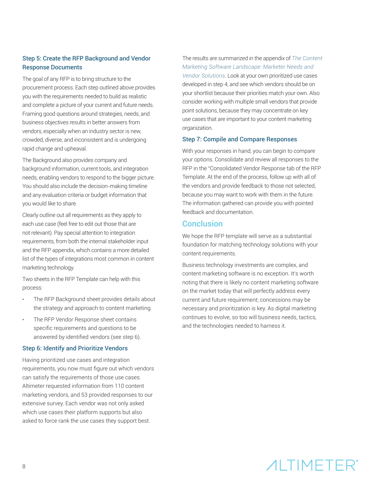#### Step 5: Create the RFP Background and Vendor **Response Documents**

The goal of any RFP is to bring structure to the procurement process. Each step outlined above provides you with the requirements needed to build as realistic and complete a picture of your current and future needs. Framing good questions around strategies, needs, and business objectives results in better answers from vendors, especially when an industry sector is new, crowded, diverse, and inconsistent and is undergoing rapid change and upheaval.

The Background also provides company and background information, current tools, and integration needs, enabling vendors to respond to the bigger picture. You should also include the decision-making timeline and any evaluation criteria or budget information that you would like to share.

Clearly outline out all requirements as they apply to each use case (feel free to edit out those that are not relevant). Pay special attention to integration requirements, from both the internal stakeholder input and the RFP appendix, which contains a more detailed list of the types of integrations most common in content marketing technology.

Two sheets in the RFP Template can help with this process:

- The RFP Background sheet provides details about the strategy and approach to content marketing.
- The RFP Vendor Response sheet contains specific requirements and questions to be answered by identified vendors (see step 6).

#### Step 6: Identify and Prioritize Vendors

Having prioritized use cases and integration requirements, you now must figure out which vendors can satisfy the requirements of those use cases. Altimeter requested information from 110 content marketing vendors, and 53 provided responses to our extensive survey. Each vendor was not only asked which use cases their platform supports but also asked to force rank the use cases they support best.

The results are summarized in the appendix of *[The Content](http://www.altimetergroup.com/content-marketing-software-landscape/) [Marketing Software Landscape: Marketer Needs and](http://www.altimetergroup.com/content-marketing-software-landscape/)  [Vendor Solutions](http://www.altimetergroup.com/content-marketing-software-landscape/)*. Look at your own prioritized use cases developed in step 4, and see which vendors should be on your shortlist because their priorities match your own. Also consider working with multiple small vendors that provide point solutions, because they may concentrate on key use cases that are important to your content marketing organization.

#### Step 7: Compile and Compare Responses

With your responses in hand, you can begin to compare your options. Consolidate and review all responses to the RFP in the "Consolidated Vendor Response tab of the RFP Template. At the end of the process, follow up with all of the vendors and provide feedback to those not selected, because you may want to work with them in the future. The information gathered can provide you with pointed feedback and documentation.

### Conclusion

We hope the RFP template will serve as a substantial foundation for matching technology solutions with your content requirements.

Business technology investments are complex, and content marketing software is no exception. It's worth noting that there is likely no content marketing software on the market today that will perfectly address every current and future requirement; concessions may be necessary and prioritization is key. As digital marketing continues to evolve, so too will business needs, tactics, and the technologies needed to harness it.

# *AITIMETER®*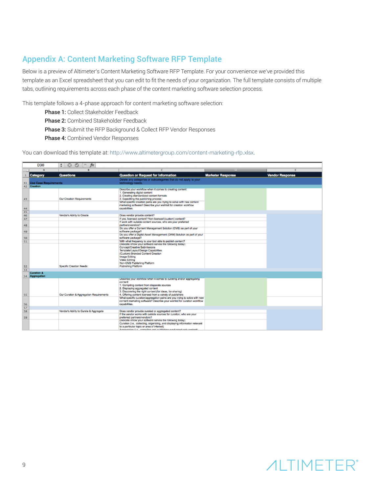## Appendix A: Content Marketing Software RFP Template

Below is a preview of Altimeter's Content Marketing Software RFP Template. For your convenience we've provided this template as an Excel spreadsheet that you can edit to fit the needs of your organization. The full template consists of multiple tabs, outlining requirements across each phase of the content marketing software selection process.

This template follows a 4-phase approach for content marketing software selection:

- Phase 1: Collect Stakeholder Feedback
- Phase 2: Combined Stakeholder Feedback
- Phase 3: Submit the RFP Background & Collect RFP Vendor Responses
- Phase 4: Combined Vendor Responses

You can download this template at: [http://www.altimetergroup.com/content-marketing-rfp.xlsx](http://bit.ly/altimeter-cmrfp).

|          | <b>D30</b>               | $\odot$<br>$f_{\mathbf{x}}$<br>O<br>$\blacksquare$ |                                                                                                                                                                                                                                                                                                                                                                    |                          |                        |
|----------|--------------------------|----------------------------------------------------|--------------------------------------------------------------------------------------------------------------------------------------------------------------------------------------------------------------------------------------------------------------------------------------------------------------------------------------------------------------------|--------------------------|------------------------|
|          | $\mathbf{A}$             |                                                    |                                                                                                                                                                                                                                                                                                                                                                    | Ð                        |                        |
|          | <b>Category</b>          | <b>Questions</b>                                   | <b>Question or Request for Information</b>                                                                                                                                                                                                                                                                                                                         | <b>Marketer Response</b> | <b>Vendor Response</b> |
|          | 41 Use Case Requirements |                                                    | Delete any categories or subcategories that do not apply to your<br>technology needs.                                                                                                                                                                                                                                                                              |                          |                        |
| 42       | <b>Creation</b>          |                                                    |                                                                                                                                                                                                                                                                                                                                                                    |                          |                        |
| 43<br>44 |                          | Our Creation Requirements                          | Describe your workflow when it comes to creating content:<br>1. Generating digital content<br>2. Creating standardized content formats<br>3. Expediting the publishing process<br>What specific creation pains are you trying to solve with new content<br>marketing software? Describe your wishlist for creation workflow<br>capabilities.                       |                          |                        |
| 45       |                          |                                                    |                                                                                                                                                                                                                                                                                                                                                                    |                          |                        |
| 46       |                          | Vendor's Ability to Create                         | Does vendor provide content?                                                                                                                                                                                                                                                                                                                                       |                          |                        |
| 47       |                          |                                                    | If yes, licensed content? Non-licensed (custom) content?                                                                                                                                                                                                                                                                                                           |                          |                        |
| 48       |                          |                                                    | If work with outside content sources, who are your preferred<br>partners/vendors?                                                                                                                                                                                                                                                                                  |                          |                        |
| 49       |                          |                                                    | Do you offer a Content Management Solution (CMS) as part of your<br>software package?                                                                                                                                                                                                                                                                              |                          |                        |
| 50       |                          |                                                    | Do you offer a Digital Asset Management (DAM) Solution as part of your<br>software package?                                                                                                                                                                                                                                                                        |                          |                        |
| 51       |                          |                                                    | With what frequency is your tool able to publish content?<br>(Indicate it/how your software serves the following today)                                                                                                                                                                                                                                            |                          |                        |
|          |                          | Specific Creation Needs:                           | Concept/Creative Submissions<br>Template/Layout/Design Capabilities<br>(Custom) Branded Content Creation<br>Image Editing<br><b>Video Editing</b><br>Non-CMS Publishing Platform<br><b>Publishing Platform</b>                                                                                                                                                     |                          |                        |
| 52<br>53 |                          |                                                    |                                                                                                                                                                                                                                                                                                                                                                    |                          |                        |
|          | <b>Curation &amp;</b>    |                                                    |                                                                                                                                                                                                                                                                                                                                                                    |                          |                        |
|          | 54 Aggregation           |                                                    |                                                                                                                                                                                                                                                                                                                                                                    |                          |                        |
| 55       |                          | Our Curation & Aggregation Requirements            | Describe your workflow when it comes to curating and/or aggregating<br>content:<br>1. Compiling content from disparate sources<br>2. Displaying aggregated content<br>3. Discovering the right content (for ideas, for sharing)<br>4. Offering content licensed from a variety of publishers                                                                       |                          |                        |
| 56       |                          |                                                    | What specific curation/aggregation pains are you trying to solve with new<br>content marketing software? Describe your wishlist for curation workflow<br>capabilities.                                                                                                                                                                                             |                          |                        |
| 57       |                          |                                                    |                                                                                                                                                                                                                                                                                                                                                                    |                          |                        |
| 58       |                          | Vendor's Ability to Curate & Aggregate             | Does vendor provide curated or aggregated content?                                                                                                                                                                                                                                                                                                                 |                          |                        |
| 59       |                          |                                                    | If the vendor works with outside sources for curation, who are your<br>preferred partners/vendors?<br>(indicate it/how your software serves the following today)<br>Curation (i.e., collecting, organizing, and displaying information relevant<br>to a particular topic or area of interest)<br>Anneonation /i.a. nomedian and sublishing sundicated wah contant) |                          |                        |

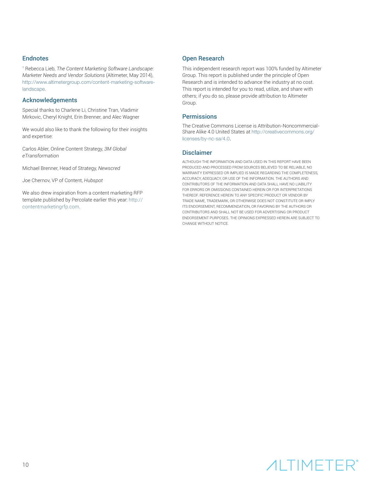#### **Endnotes**

1 Rebecca Lieb, *The Content Marketing Software Landscape: Marketer Needs and Vendor Solutions* (Altimeter, May 2014), [http://www.altimetergroup.com/content-marketing-software](http://www.altimetergroup.com/content-marketing-software-landscape)[landscape](http://www.altimetergroup.com/content-marketing-software-landscape).

#### **Acknowledgements**

Special thanks to Charlene Li, Christine Tran, Vladimir Mirkovic, Cheryl Knight, Erin Brenner, and Alec Wagner

We would also like to thank the following for their insights and expertise:

Carlos Abler, Online Content Strategy, *3M Global eTransformation*

Michael Brenner, Head of Strategy, *Newscred*

Joe Chernov, VP of Content, *Hubspot*

We also drew inspiration from a content marketing RFP template published by Percolate earlier this year: [http://](http://contentmarketingrfp.com) [contentmarketingrfp.com](http://contentmarketingrfp.com).

#### **Open Research**

This independent research report was 100% funded by Altimeter Group. This report is published under the principle of Open Research and is intended to advance the industry at no cost. This report is intended for you to read, utilize, and share with others; if you do so, please provide attribution to Altimeter Group.

#### Permissions

The Creative Commons License is Attribution-Noncommercial-Share Alike 4.0 United States at [http://creativecommons.org/](http://creativecommons.org/licenses/by-nc-sa/4.0) [licenses/by-nc-sa/4.0](http://creativecommons.org/licenses/by-nc-sa/4.0).

#### Disclaimer

ALTHOUGH THE INFORMATION AND DATA USED IN THIS REPORT HAVE BEEN PRODUCED AND PROCESSED FROM SOURCES BELIEVED TO BE RELIABLE, NO WARRANTY EXPRESSED OR IMPLIED IS MADE REGARDING THE COMPLETENESS, ACCURACY, ADEQUACY, OR USE OF THE INFORMATION. THE AUTHORS AND CONTRIBUTORS OF THE INFORMATION AND DATA SHALL HAVE NO LIABILITY FOR ERRORS OR OMISSIONS CONTAINED HEREIN OR FOR INTERPRETATIONS THEREOF. REFERENCE HEREIN TO ANY SPECIFIC PRODUCT OR VENDOR BY TRADE NAME, TRADEMARK, OR OTHERWISE DOES NOT CONSTITUTE OR IMPLY ITS ENDORSEMENT, RECOMMENDATION, OR FAVORING BY THE AUTHORS OR CONTRIBUTORS AND SHALL NOT BE USED FOR ADVERTISING OR PRODUCT ENDORSEMENT PURPOSES. THE OPINIONS EXPRESSED HEREIN ARE SUBJECT TO CHANGE WITHOUT NOTICE.